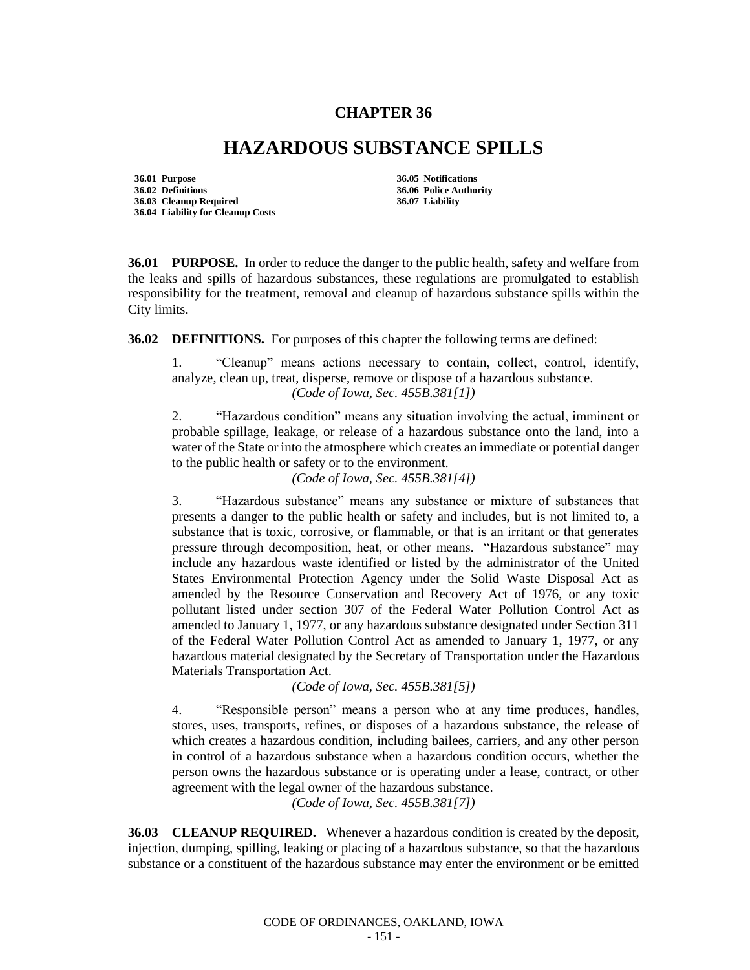## **CHAPTER 36**

## **HAZARDOUS SUBSTANCE SPILLS**

**36.01 Purpose 36.05 Notifications 36.02 Definitions 36.06 Police Authority 36.03 Cleanup Required 36.04 Liability for Cleanup Costs**

**36.01 PURPOSE.** In order to reduce the danger to the public health, safety and welfare from the leaks and spills of hazardous substances, these regulations are promulgated to establish responsibility for the treatment, removal and cleanup of hazardous substance spills within the City limits.

**36.02 DEFINITIONS.** For purposes of this chapter the following terms are defined:

1. "Cleanup" means actions necessary to contain, collect, control, identify, analyze, clean up, treat, disperse, remove or dispose of a hazardous substance. *(Code of Iowa, Sec. 455B.381[1])*

2. "Hazardous condition" means any situation involving the actual, imminent or probable spillage, leakage, or release of a hazardous substance onto the land, into a water of the State or into the atmosphere which creates an immediate or potential danger to the public health or safety or to the environment.

*(Code of Iowa, Sec. 455B.381[4])*

3. "Hazardous substance" means any substance or mixture of substances that presents a danger to the public health or safety and includes, but is not limited to, a substance that is toxic, corrosive, or flammable, or that is an irritant or that generates pressure through decomposition, heat, or other means. "Hazardous substance" may include any hazardous waste identified or listed by the administrator of the United States Environmental Protection Agency under the Solid Waste Disposal Act as amended by the Resource Conservation and Recovery Act of 1976, or any toxic pollutant listed under section 307 of the Federal Water Pollution Control Act as amended to January 1, 1977, or any hazardous substance designated under Section 311 of the Federal Water Pollution Control Act as amended to January 1, 1977, or any hazardous material designated by the Secretary of Transportation under the Hazardous Materials Transportation Act.

*(Code of Iowa, Sec. 455B.381[5])*

4. "Responsible person" means a person who at any time produces, handles, stores, uses, transports, refines, or disposes of a hazardous substance, the release of which creates a hazardous condition, including bailees, carriers, and any other person in control of a hazardous substance when a hazardous condition occurs, whether the person owns the hazardous substance or is operating under a lease, contract, or other agreement with the legal owner of the hazardous substance.

*(Code of Iowa, Sec. 455B.381[7])*

**36.03 CLEANUP REQUIRED.** Whenever a hazardous condition is created by the deposit, injection, dumping, spilling, leaking or placing of a hazardous substance, so that the hazardous substance or a constituent of the hazardous substance may enter the environment or be emitted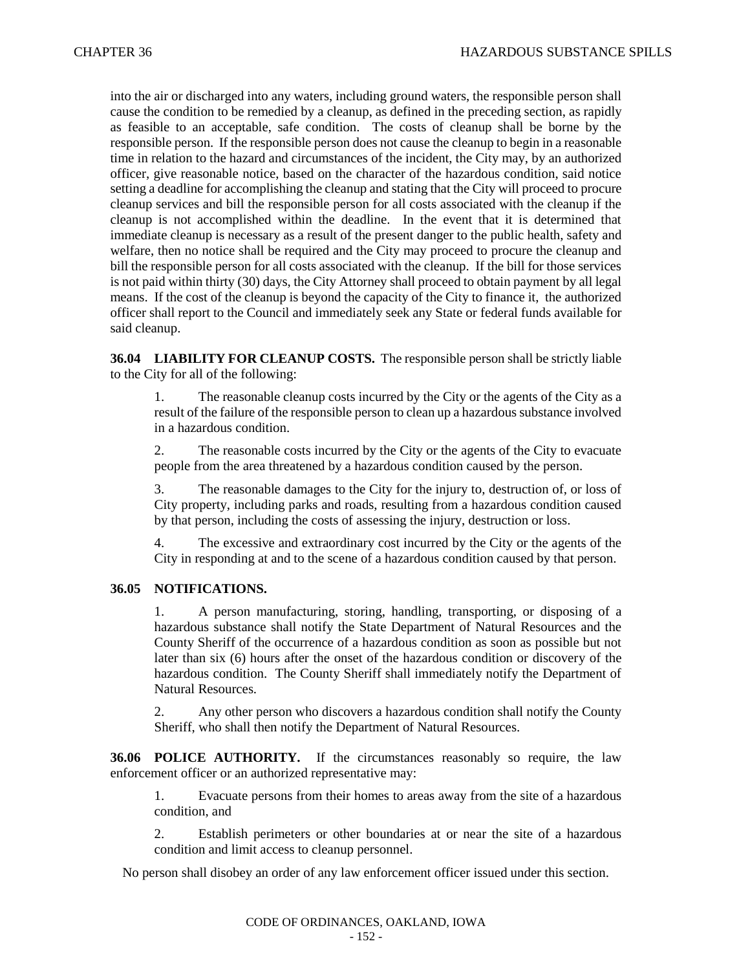into the air or discharged into any waters, including ground waters, the responsible person shall cause the condition to be remedied by a cleanup, as defined in the preceding section, as rapidly as feasible to an acceptable, safe condition. The costs of cleanup shall be borne by the responsible person. If the responsible person does not cause the cleanup to begin in a reasonable time in relation to the hazard and circumstances of the incident, the City may, by an authorized officer, give reasonable notice, based on the character of the hazardous condition, said notice setting a deadline for accomplishing the cleanup and stating that the City will proceed to procure cleanup services and bill the responsible person for all costs associated with the cleanup if the cleanup is not accomplished within the deadline. In the event that it is determined that immediate cleanup is necessary as a result of the present danger to the public health, safety and welfare, then no notice shall be required and the City may proceed to procure the cleanup and bill the responsible person for all costs associated with the cleanup. If the bill for those services is not paid within thirty (30) days, the City Attorney shall proceed to obtain payment by all legal means. If the cost of the cleanup is beyond the capacity of the City to finance it, the authorized officer shall report to the Council and immediately seek any State or federal funds available for said cleanup.

**36.04 LIABILITY FOR CLEANUP COSTS.** The responsible person shall be strictly liable to the City for all of the following:

1. The reasonable cleanup costs incurred by the City or the agents of the City as a result of the failure of the responsible person to clean up a hazardous substance involved in a hazardous condition.

2. The reasonable costs incurred by the City or the agents of the City to evacuate people from the area threatened by a hazardous condition caused by the person.

3. The reasonable damages to the City for the injury to, destruction of, or loss of City property, including parks and roads, resulting from a hazardous condition caused by that person, including the costs of assessing the injury, destruction or loss.

4. The excessive and extraordinary cost incurred by the City or the agents of the City in responding at and to the scene of a hazardous condition caused by that person.

## **36.05 NOTIFICATIONS.**

1. A person manufacturing, storing, handling, transporting, or disposing of a hazardous substance shall notify the State Department of Natural Resources and the County Sheriff of the occurrence of a hazardous condition as soon as possible but not later than six (6) hours after the onset of the hazardous condition or discovery of the hazardous condition. The County Sheriff shall immediately notify the Department of Natural Resources.

2. Any other person who discovers a hazardous condition shall notify the County Sheriff, who shall then notify the Department of Natural Resources.

**36.06 POLICE AUTHORITY.** If the circumstances reasonably so require, the law enforcement officer or an authorized representative may:

1. Evacuate persons from their homes to areas away from the site of a hazardous condition, and

2. Establish perimeters or other boundaries at or near the site of a hazardous condition and limit access to cleanup personnel.

No person shall disobey an order of any law enforcement officer issued under this section.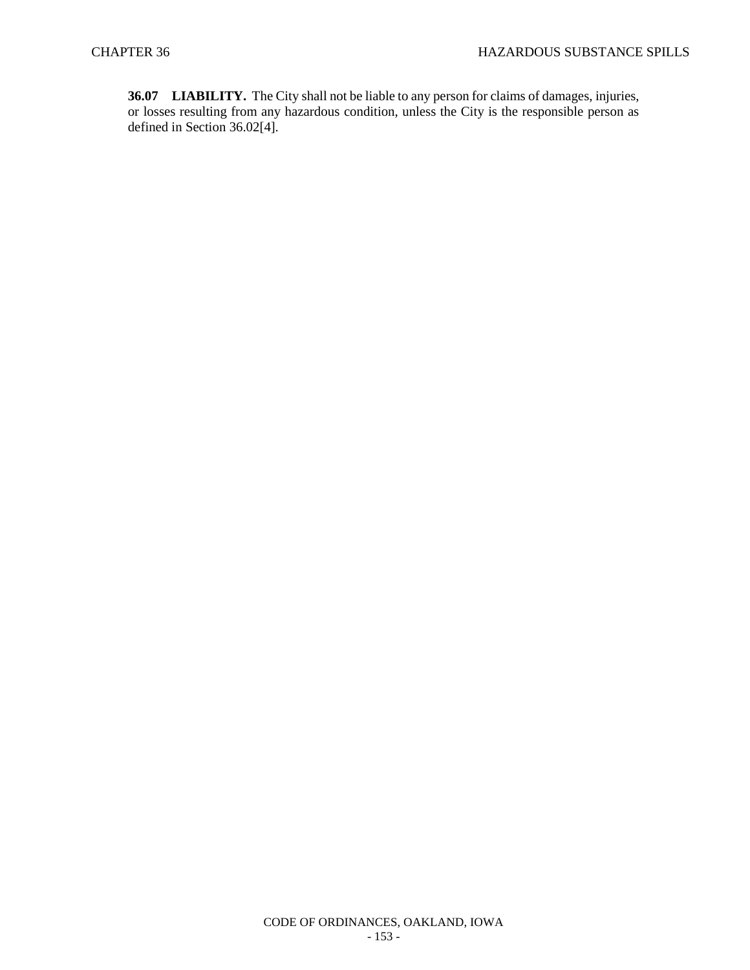**36.07 LIABILITY.** The City shall not be liable to any person for claims of damages, injuries, or losses resulting from any hazardous condition, unless the City is the responsible person as defined in Section 36.02[4].